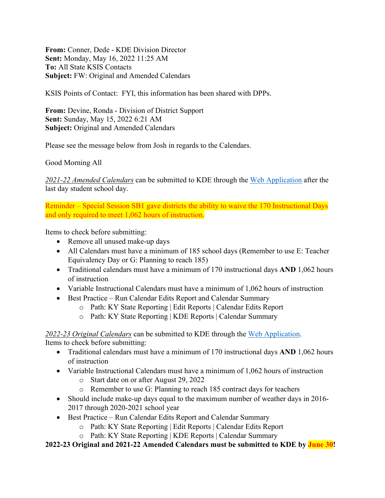**From:** Conner, Dede - KDE Division Director **Sent:** Monday, May 16, 2022 11:25 AM **To:** All State KSIS Contacts **Subject:** FW: Original and Amended Calendars

KSIS Points of Contact: FYI, this information has been shared with DPPs.

**From:** Devine, Ronda - Division of District Support **Sent:** Sunday, May 15, 2022 6:21 AM **Subject:** Original and Amended Calendars

Please see the message below from Josh in regards to the Calendars.

Good Morning All

*2021-22 Amended Calendars* can be submitted to KDE through the [Web Application](https://applications.education.ky.gov/login/) after the last day student school day.

Reminder – Special Session SB1 gave districts the ability to waive the 170 Instructional Days and only required to meet 1,062 hours of instruction.

Items to check before submitting:

- Remove all unused make-up days
- All Calendars must have a minimum of 185 school days (Remember to use E: Teacher Equivalency Day or G: Planning to reach 185)
- Traditional calendars must have a minimum of 170 instructional days **AND** 1,062 hours of instruction
- Variable Instructional Calendars must have a minimum of 1,062 hours of instruction
- Best Practice Run Calendar Edits Report and Calendar Summary
	- o Path: KY State Reporting | Edit Reports | Calendar Edits Report
	- o Path: KY State Reporting | KDE Reports | Calendar Summary

*2022-23 Original Calendars* can be submitted to KDE through the [Web Application.](https://applications.education.ky.gov/login/) Items to check before submitting:

- Traditional calendars must have a minimum of 170 instructional days **AND** 1,062 hours of instruction
- Variable Instructional Calendars must have a minimum of 1,062 hours of instruction
	- o Start date on or after August 29, 2022
	- o Remember to use G: Planning to reach 185 contract days for teachers
- Should include make-up days equal to the maximum number of weather days in 2016-2017 through 2020-2021 school year
- Best Practice Run Calendar Edits Report and Calendar Summary
	- o Path: KY State Reporting | Edit Reports | Calendar Edits Report
	- o Path: KY State Reporting | KDE Reports | Calendar Summary

**2022-23 Original and 2021-22 Amended Calendars must be submitted to KDE by June 30!**